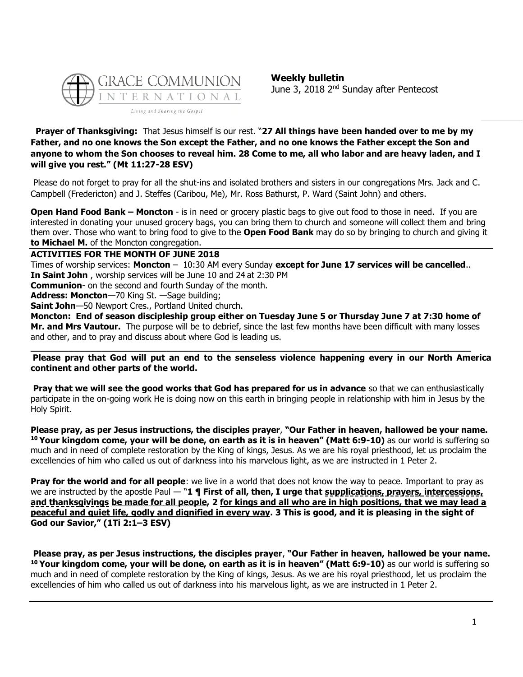

**Weekly bulletin** June 3, 2018 2<sup>nd</sup> Sunday after Pentecost

### **Prayer of Thanksgiving:** That Jesus himself is our rest. "**27 All things have been handed over to me by my Father, and no one knows the Son except the Father, and no one knows the Father except the Son and anyone to whom the Son chooses to reveal him. 28 Come to me, all who labor and are heavy laden, and I will give you rest." (Mt 11:27-28 ESV)**

Please do not forget to pray for all the shut-ins and isolated brothers and sisters in our congregations Mrs. Jack and C. Campbell (Fredericton) and J. Steffes (Caribou, Me), Mr. Ross Bathurst, P. Ward (Saint John) and others.

**Open Hand Food Bank – Moncton** - is in need or grocery plastic bags to give out food to those in need. If you are interested in donating your unused grocery bags, you can bring them to church and someone will collect them and bring them over. Those who want to bring food to give to the **Open Food Bank** may do so by bringing to church and giving it **to Michael M.** of the Moncton congregation.

**ACTIVITIES FOR THE MONTH OF JUNE 2018**

Times of worship services: **Moncton** – 10:30 AM every Sunday **except for June 17 services will be cancelled**.. **In Saint John** , worship services will be June 10 and 24 at 2:30 PM

**Communion**- on the second and fourth Sunday of the month.

**Address: Moncton**—70 King St. —Sage building;

**Saint John**—50 Newport Cres., Portland United church.

**Moncton: End of season discipleship group either on Tuesday June 5 or Thursday June 7 at 7:30 home of Mr. and Mrs Vautour.** The purpose will be to debrief, since the last few months have been difficult with many losses and other, and to pray and discuss about where God is leading us.

**\_\_\_\_\_\_\_\_\_\_\_\_\_\_\_\_\_\_\_\_\_\_\_\_\_\_\_\_\_\_\_\_\_\_\_\_\_\_\_\_\_\_\_\_\_\_\_\_\_\_\_\_\_\_\_\_\_\_\_\_\_\_\_\_\_\_\_\_\_\_\_\_\_\_\_\_\_\_\_\_\_**

**Please pray that God will put an end to the senseless violence happening every in our North America continent and other parts of the world.** 

**Pray that we will see the good works that God has prepared for us in advance** so that we can enthusiastically participate in the on-going work He is doing now on this earth in bringing people in relationship with him in Jesus by the Holy Spirit.

**Please pray, as per Jesus instructions, the disciples prayer**, **"Our Father in heaven, hallowed be your name. <sup>10</sup> Your kingdom come, your will be done, on earth as it is in heaven" (Matt 6:9-10)** as our world is suffering so much and in need of complete restoration by the King of kings, Jesus. As we are his royal priesthood, let us proclaim the excellencies of him who called us out of darkness into his marvelous light, as we are instructed in 1 Peter 2.

**Pray for the world and for all people**: we live in a world that does not know the way to peace. Important to pray as we are instructed by the apostle Paul — "1 **¶ First of all, then, I urge that supplications, prayers, intercessions, and thanksgivings be made for all people, 2 for kings and all who are in high positions, that we may lead a peaceful and quiet life, godly and dignified in every way. 3 This is good, and it is pleasing in the sight of God our Savior," (1Ti 2:1–3 ESV)**

**Please pray, as per Jesus instructions, the disciples prayer**, **"Our Father in heaven, hallowed be your name. <sup>10</sup> Your kingdom come, your will be done, on earth as it is in heaven" (Matt 6:9-10)** as our world is suffering so much and in need of complete restoration by the King of kings, Jesus. As we are his royal priesthood, let us proclaim the excellencies of him who called us out of darkness into his marvelous light, as we are instructed in 1 Peter 2.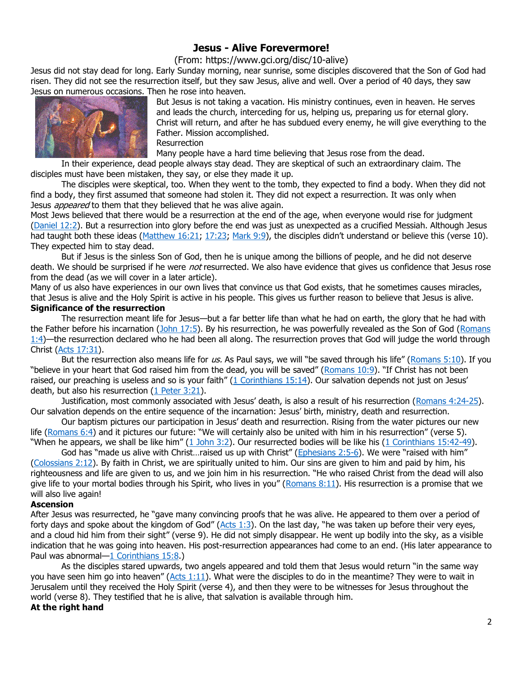## **Jesus - Alive Forevermore!**

(From: https://www.gci.org/disc/10-alive)

Jesus did not stay dead for long. Early Sunday morning, near sunrise, some disciples discovered that the Son of God had risen. They did not see the resurrection itself, but they saw Jesus, alive and well. Over a period of 40 days, they saw Jesus on numerous occasions. Then he rose into heaven.



But Jesus is not taking a vacation. His ministry continues, even in heaven. He serves and leads the church, interceding for us, helping us, preparing us for eternal glory. Christ will return, and after he has subdued every enemy, he will give everything to the Father. Mission accomplished.

**Resurrection** 

Many people have a hard time believing that Jesus rose from the dead.

In their experience, dead people always stay dead. They are skeptical of such an extraordinary claim. The disciples must have been mistaken, they say, or else they made it up.

The disciples were skeptical, too. When they went to the tomb, they expected to find a body. When they did not find a body, they first assumed that someone had stolen it. They did not expect a resurrection. It was only when Jesus *appeared* to them that they believed that he was alive again.

Most Jews believed that there would be a resurrection at the end of the age, when everyone would rise for judgment [\(Daniel 12:2\)](https://biblia.com/bible/niv/Dan%2012.2). But a resurrection into glory before the end was just as unexpected as a crucified Messiah. Although Jesus had taught both these ideas [\(Matthew 16:21;](https://biblia.com/bible/niv/Matt%2016.21) [17:23;](https://biblia.com/bible/niv/Matthew%2017.23) [Mark 9:9](https://biblia.com/bible/niv/Mark%209.9)), the disciples didn't understand or believe this (verse 10). They expected him to stay dead.

But if Jesus is the sinless Son of God, then he is unique among the billions of people, and he did not deserve death. We should be surprised if he were *not* resurrected. We also have evidence that gives us confidence that Jesus rose from the dead (as we will cover in a later article).

Many of us also have experiences in our own lives that convince us that God exists, that he sometimes causes miracles, that Jesus is alive and the Holy Spirit is active in his people. This gives us further reason to believe that Jesus is alive. **Significance of the resurrection**

The resurrection meant life for Jesus—but a far better life than what he had on earth, the glory that he had with the Father before his incarnation [\(John 17:5\)](https://biblia.com/bible/niv/John%2017.5). By his resurrection, he was powerfully revealed as the Son of God [\(Romans](https://biblia.com/bible/niv/Rom%201.4)  [1:4\)](https://biblia.com/bible/niv/Rom%201.4)—the resurrection declared who he had been all along. The resurrection proves that God will judge the world through Christ [\(Acts 17:31\)](https://biblia.com/bible/niv/Acts%2017.31).

But the resurrection also means life for us. As Paul says, we will "be saved through his life" ([Romans 5:10\)](https://biblia.com/bible/niv/Rom%205.10). If you "believe in your heart that God raised him from the dead, you will be saved" ([Romans 10:9](https://biblia.com/bible/niv/Rom%2010.9)). "If Christ has not been raised, our preaching is useless and so is your faith" ([1 Corinthians 15:14](https://biblia.com/bible/niv/1%20Cor%2015.14)). Our salvation depends not just on Jesus' death, but also his resurrection [\(1 Peter 3:21\)](https://biblia.com/bible/niv/1%20Pet%203.21).

Justification, most commonly associated with Jesus' death, is also a result of his resurrection ([Romans 4:24-25\)](https://biblia.com/bible/niv/Rom%204.24-25). Our salvation depends on the entire sequence of the incarnation: Jesus' birth, ministry, death and resurrection.

Our baptism pictures our participation in Jesus' death and resurrection. Rising from the water pictures our new life [\(Romans 6:4\)](https://biblia.com/bible/niv/Rom%206.4) and it pictures our future: "We will certainly also be united with him in his resurrection" (verse 5). "When he appears, we shall be like him" ([1 John 3:2\)](https://biblia.com/bible/niv/1%20John%203.2). Our resurrected bodies will be like his [\(1 Corinthians 15:42-49\)](https://biblia.com/bible/niv/1%20Cor%2015.42-49).

God has "made us alive with Christ...raised us up with Christ" ([Ephesians 2:5-6](https://biblia.com/bible/niv/Eph%202.5-6)). We were "raised with him" [\(Colossians 2:12\)](https://biblia.com/bible/niv/Col%202.12). By faith in Christ, we are spiritually united to him. Our sins are given to him and paid by him, his righteousness and life are given to us, and we join him in his resurrection. "He who raised Christ from the dead will also give life to your mortal bodies through his Spirit, who lives in you" ( $Romans 8:11$ ). His resurrection is a promise that we will also live again!

#### **Ascension**

After Jesus was resurrected, he "gave many convincing proofs that he was alive. He appeared to them over a period of forty days and spoke about the kingdom of God" ( $Acts 1:3$ ). On the last day, "he was taken up before their very eyes, and a cloud hid him from their sight" (verse 9). He did not simply disappear. He went up bodily into the sky, as a visible indication that he was going into heaven. His post-resurrection appearances had come to an end. (His later appearance to Paul was abnormal—[1 Corinthians 15:8.](https://biblia.com/bible/niv/1%20Cor%2015.8))

As the disciples stared upwards, two angels appeared and told them that Jesus would return "in the same way you have seen him go into heaven" ([Acts 1:11\)](https://biblia.com/bible/niv/Acts%201.11). What were the disciples to do in the meantime? They were to wait in Jerusalem until they received the Holy Spirit (verse 4), and then they were to be witnesses for Jesus throughout the world (verse 8). They testified that he is alive, that salvation is available through him.

#### **At the right hand**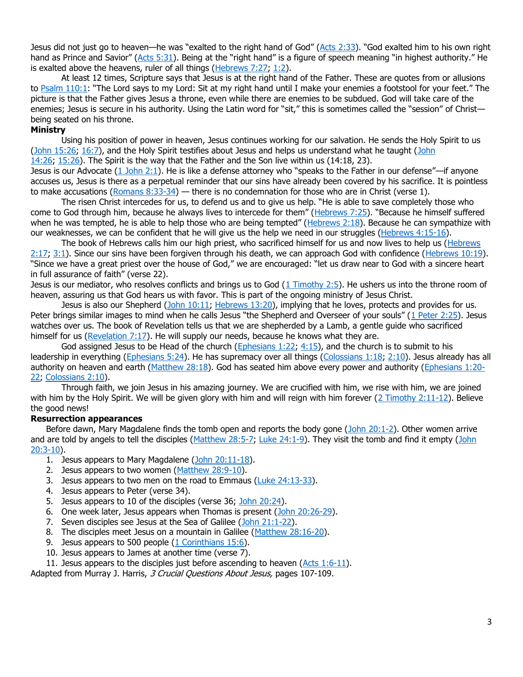Jesus did not just go to heaven—he was "exalted to the right hand of God" ([Acts 2:33](https://biblia.com/bible/niv/Acts%202.33)). "God exalted him to his own right hand as Prince and Savior" ([Acts 5:31](https://biblia.com/bible/niv/Acts%205.31)). Being at the "right hand" is a figure of speech meaning "in highest authority." He is exalted above the heavens, ruler of all things  $(Hebrews 7:27; 1:2)$  $(Hebrews 7:27; 1:2)$  $(Hebrews 7:27; 1:2)$ .

At least 12 times, Scripture says that Jesus is at the right hand of the Father. These are quotes from or allusions to [Psalm 110:1](https://biblia.com/bible/niv/Ps%20110.1): "The Lord says to my Lord: Sit at my right hand until I make your enemies a footstool for your feet." The picture is that the Father gives Jesus a throne, even while there are enemies to be subdued. God will take care of the enemies; Jesus is secure in his authority. Using the Latin word for "sit," this is sometimes called the "session" of Christ being seated on his throne.

#### **Ministry**

Using his position of power in heaven, Jesus continues working for our salvation. He sends the Holy Spirit to us [\(John 15:26;](https://biblia.com/bible/niv/John%2015.26) [16:7\)](https://biblia.com/bible/niv/John%2016.7), and the Holy Spirit testifies about Jesus and helps us understand what he taught [\(John](https://biblia.com/bible/niv/John%2014.26)  [14:26;](https://biblia.com/bible/niv/John%2014.26) [15:26\)](https://biblia.com/bible/niv/John%2015.26). The Spirit is the way that the Father and the Son live within us (14:18, 23).

Jesus is our Advocate [\(1 John 2:1](https://biblia.com/bible/niv/1%20John%202.1)). He is like a defense attorney who "speaks to the Father in our defense"—if anyone accuses us, Jesus is there as a perpetual reminder that our sins have already been covered by his sacrifice. It is pointless to make accusations (Romans  $8:33-34$ ) — there is no condemnation for those who are in Christ (verse 1).

The risen Christ intercedes for us, to defend us and to give us help. "He is able to save completely those who come to God through him, because he always lives to intercede for them" ([Hebrews 7:25](https://biblia.com/bible/niv/Heb%207.25)). "Because he himself suffered when he was tempted, he is able to help those who are being tempted" (Hebrews  $2:18$ ). Because he can sympathize with our weaknesses, we can be confident that he will give us the help we need in our struggles [\(Hebrews 4:15-16\)](https://biblia.com/bible/niv/Heb%204.15-16).

The book of Hebrews calls him our high priest, who sacrificed himself for us and now lives to help us (Hebrews [2:17;](https://biblia.com/bible/niv/Heb%202.17) [3:1\)](https://biblia.com/bible/niv/Hebrews%203.1). Since our sins have been forgiven through his death, we can approach God with confidence [\(Hebrews 10:19\)](https://biblia.com/bible/niv/Heb%2010.19). "Since we have a great priest over the house of God," we are encouraged: "let us draw near to God with a sincere heart in full assurance of faith" (verse 22).

Jesus is our mediator, who resolves conflicts and brings us to God  $(1 \text{ Timothy } 2:5)$ . He ushers us into the throne room of heaven, assuring us that God hears us with favor. This is part of the ongoing ministry of Jesus Christ.

Jesus is also our Shepherd [\(John 10:11;](https://biblia.com/bible/niv/John%2010.11) [Hebrews 13:20\)](https://biblia.com/bible/niv/Heb%2013.20), implying that he loves, protects and provides for us. Peter brings similar images to mind when he calls Jesus "the Shepherd and Overseer of your souls" ([1 Peter 2:25\)](https://biblia.com/bible/niv/1%20Pet%202.25). Jesus watches over us. The book of Revelation tells us that we are shepherded by a Lamb, a gentle guide who sacrificed himself for us [\(Revelation 7:17\)](https://biblia.com/bible/niv/Rev%207.17). He will supply our needs, because he knows what they are.

God assigned Jesus to be Head of the church [\(Ephesians 1:22;](https://biblia.com/bible/niv/Eph%201.22) [4:15\)](https://biblia.com/bible/niv/Ephesians%204.15), and the church is to submit to his leadership in everything [\(Ephesians 5:24\)](https://biblia.com/bible/niv/Eph%205.24). He has supremacy over all things [\(Colossians 1:18;](https://biblia.com/bible/niv/Col%201.18) [2:10\)](https://biblia.com/bible/niv/Colossians%202.10). Jesus already has all authority on heaven and earth [\(Matthew 28:18\)](https://biblia.com/bible/niv/Matt%2028.18). God has seated him above every power and authority [\(Ephesians 1:20-](https://biblia.com/bible/niv/Eph%201.20-22) [22;](https://biblia.com/bible/niv/Eph%201.20-22) [Colossians 2:10\)](https://biblia.com/bible/niv/Col%202.10).

Through faith, we join Jesus in his amazing journey. We are crucified with him, we rise with him, we are joined with him by the Holy Spirit. We will be given glory with him and will reign with him forever  $(2 \text{ Timothy } 2:11-12)$ . Believe the good news!

#### **Resurrection appearances**

Before dawn, Mary Magdalene finds the tomb open and reports the body gone [\(John 20:1-2\)](https://biblia.com/bible/niv/John%2020.1-2). Other women arrive and are told by angels to tell the disciples [\(Matthew 28:5-7;](https://biblia.com/bible/niv/Matt%2028.5-7) [Luke 24:1-9\)](https://biblia.com/bible/niv/Luke%2024.1-9). They visit the tomb and find it empty [\(John](https://biblia.com/bible/niv/John%2020.3-10)  [20:3-10\)](https://biblia.com/bible/niv/John%2020.3-10).

- 1. Jesus appears to Mary Magdalene [\(John 20:11-18\)](https://biblia.com/bible/niv/John%2020.11-18).
- 2. Jesus appears to two women [\(Matthew 28:9-10\)](https://biblia.com/bible/niv/Matt%2028.9-10).
- 3. Jesus appears to two men on the road to Emmaus [\(Luke 24:13-33\)](https://biblia.com/bible/niv/Luke%2024.13-33).
- 4. Jesus appears to Peter (verse 34).
- 5. Jesus appears to 10 of the disciples (verse 36; [John 20:24\)](https://biblia.com/bible/niv/John%2020.24).
- 6. One week later, Jesus appears when Thomas is present [\(John 20:26-29\)](https://biblia.com/bible/niv/John%2020.26-29).
- 7. Seven disciples see Jesus at the Sea of Galilee [\(John 21:1-22\)](https://biblia.com/bible/niv/John%2021.1-22).
- 8. The disciples meet Jesus on a mountain in Galilee [\(Matthew 28:16-20\)](https://biblia.com/bible/niv/Matt%2028.16-20).
- 9. Jesus appears to 500 people [\(1 Corinthians 15:6\)](https://biblia.com/bible/niv/1%20Cor%2015.6).
- 10. Jesus appears to James at another time (verse 7).
- 11. Jesus appears to the disciples just before ascending to heaven [\(Acts 1:6-11\)](https://biblia.com/bible/niv/Acts%201.6-11).

Adapted from Murray J. Harris, 3 Crucial Questions About Jesus, pages 107-109.